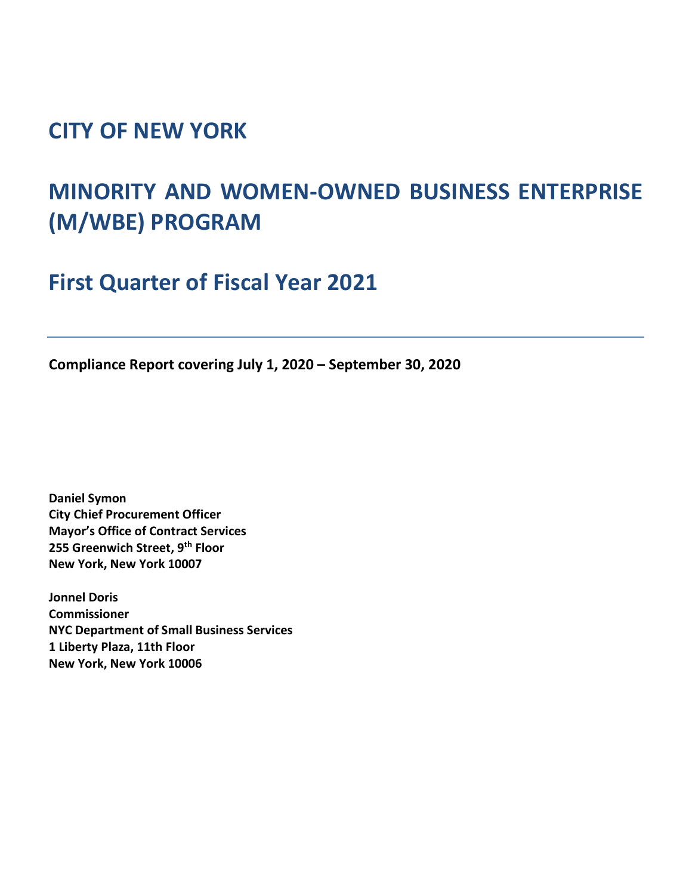## **CITY OF NEW YORK**

# **MINORITY AND WOMEN-OWNED BUSINESS ENTERPRISE (M/WBE) PROGRAM**

**First Quarter of Fiscal Year 2021**

**Compliance Report covering July 1, 2020 – September 30, 2020**

**Daniel Symon City Chief Procurement Officer Mayor's Office of Contract Services 255 Greenwich Street, 9th Floor New York, New York 10007**

**Jonnel Doris Commissioner NYC Department of Small Business Services 1 Liberty Plaza, 11th Floor New York, New York 10006**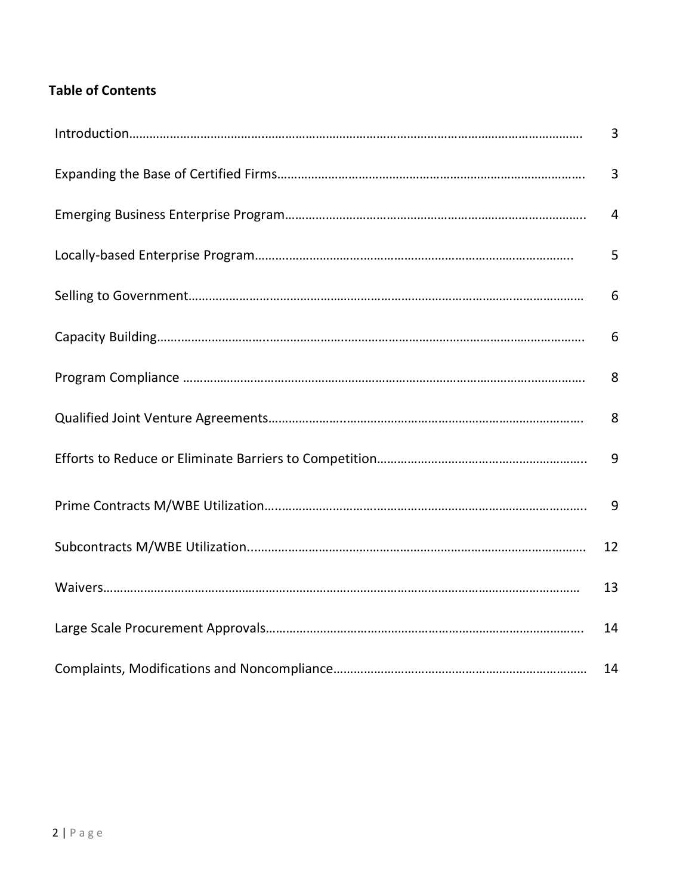### **Table of Contents**

| 3              |
|----------------|
| 3              |
| $\overline{4}$ |
| 5              |
| 6              |
| 6              |
| 8              |
| 8              |
| 9              |
| 9              |
| 12             |
| 13             |
| 14             |
| 14             |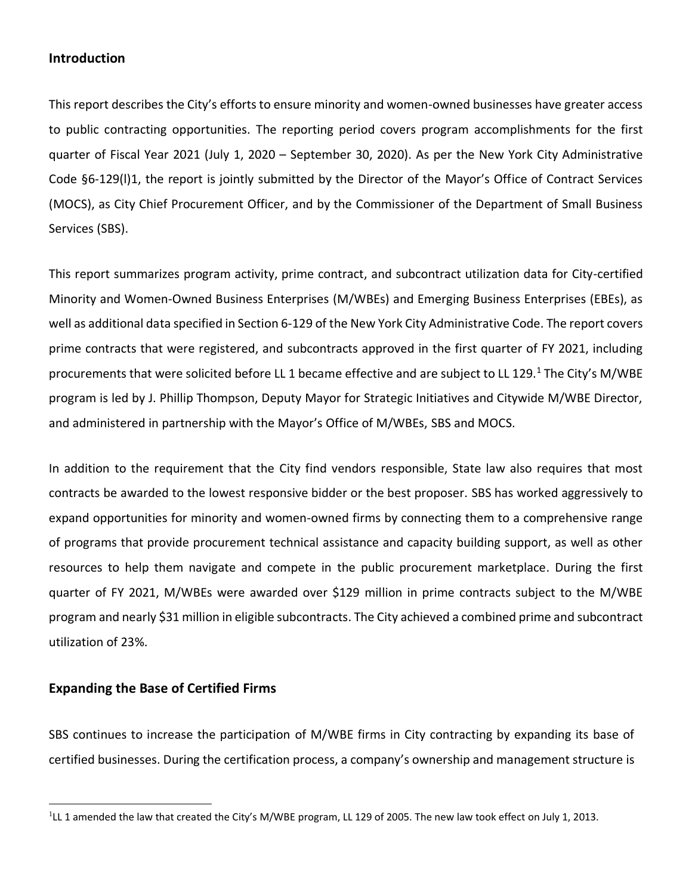#### **Introduction**

This report describes the City's efforts to ensure minority and women-owned businesses have greater access to public contracting opportunities. The reporting period covers program accomplishments for the first quarter of Fiscal Year 2021 (July 1, 2020 – September 30, 2020). As per the New York City Administrative Code §6-129(l)1, the report is jointly submitted by the Director of the Mayor's Office of Contract Services (MOCS), as City Chief Procurement Officer, and by the Commissioner of the Department of Small Business Services (SBS).

This report summarizes program activity, prime contract, and subcontract utilization data for City-certified Minority and Women-Owned Business Enterprises (M/WBEs) and Emerging Business Enterprises (EBEs), as well as additional data specified in Section 6-129 of the New York City Administrative Code. The report covers prime contracts that were registered, and subcontracts approved in the first quarter of FY 2021, including procurements that were solicited before LL 1 became effective and are subject to LL 129.<sup>1</sup> The City's M/WBE program is led by J. Phillip Thompson, Deputy Mayor for Strategic Initiatives and Citywide M/WBE Director, and administered in partnership with the Mayor's Office of M/WBEs, SBS and MOCS.

In addition to the requirement that the City find vendors responsible, State law also requires that most contracts be awarded to the lowest responsive bidder or the best proposer. SBS has worked aggressively to expand opportunities for minority and women-owned firms by connecting them to a comprehensive range of programs that provide procurement technical assistance and capacity building support, as well as other resources to help them navigate and compete in the public procurement marketplace. During the first quarter of FY 2021, M/WBEs were awarded over \$129 million in prime contracts subject to the M/WBE program and nearly \$31 million in eligible subcontracts. The City achieved a combined prime and subcontract utilization of 23%.

#### **Expanding the Base of Certified Firms**

SBS continues to increase the participation of M/WBE firms in City contracting by expanding its base of certified businesses. During the certification process, a company's ownership and management structure is

 $1$ LL 1 amended the law that created the City's M/WBE program, LL 129 of 2005. The new law took effect on July 1, 2013.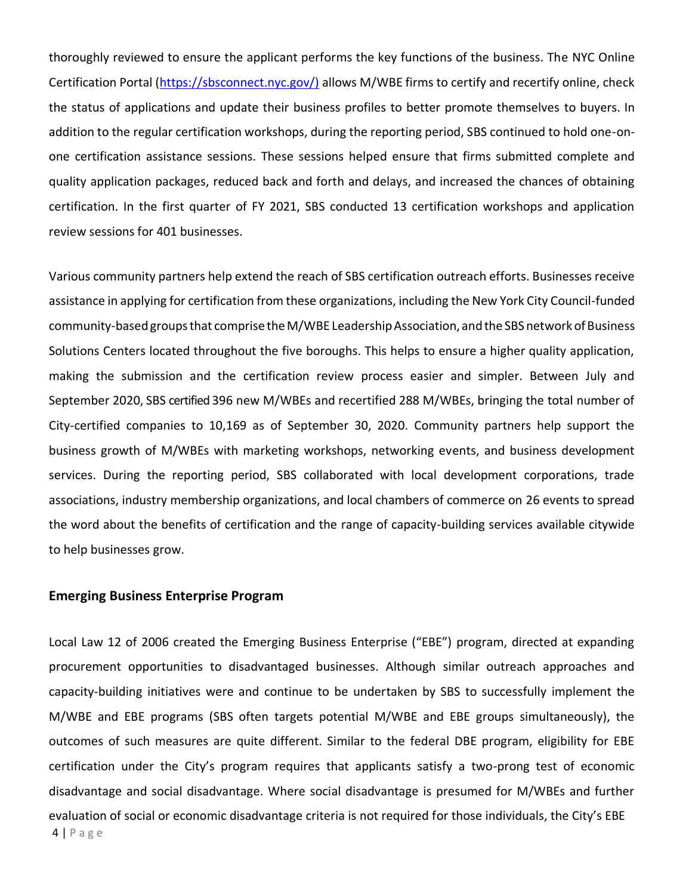thoroughly reviewed to ensure the applicant performs the key functions of the business. The NYC Online Certification Portal [\(https://sbsconnect.nyc.gov/\)](https://sbsconnect.nyc.gov/) allows M/WBE firms to certify and recertify online, check the status of applications and update their business profiles to better promote themselves to buyers. In addition to the regular certification workshops, during the reporting period, SBS continued to hold one-onone certification assistance sessions. These sessions helped ensure that firms submitted complete and quality application packages, reduced back and forth and delays, and increased the chances of obtaining certification. In the first quarter of FY 2021, SBS conducted 13 certification workshops and application review sessions for 401 businesses.

Various community partners help extend the reach of SBS certification outreach efforts. Businesses receive assistance in applying for certification from these organizations, including the New York City Council-funded community-based groups that comprise the M/WBE Leadership Association, and the SBS network of Business Solutions Centers located throughout the five boroughs. This helps to ensure a higher quality application, making the submission and the certification review process easier and simpler. Between July and September 2020, SBS certified 396 new M/WBEs and recertified 288 M/WBEs, bringing the total number of City-certified companies to 10,169 as of September 30, 2020. Community partners help support the business growth of M/WBEs with marketing workshops, networking events, and business development services. During the reporting period, SBS collaborated with local development corporations, trade associations, industry membership organizations, and local chambers of commerce on 26 events to spread the word about the benefits of certification and the range of capacity-building services available citywide to help businesses grow.

#### **Emerging Business Enterprise Program**

4 | P a g e Local Law 12 of 2006 created the Emerging Business Enterprise ("EBE") program, directed at expanding procurement opportunities to disadvantaged businesses. Although similar outreach approaches and capacity-building initiatives were and continue to be undertaken by SBS to successfully implement the M/WBE and EBE programs (SBS often targets potential M/WBE and EBE groups simultaneously), the outcomes of such measures are quite different. Similar to the federal DBE program, eligibility for EBE certification under the City's program requires that applicants satisfy a two-prong test of economic disadvantage and social disadvantage. Where social disadvantage is presumed for M/WBEs and further evaluation of social or economic disadvantage criteria is not required for those individuals, the City's EBE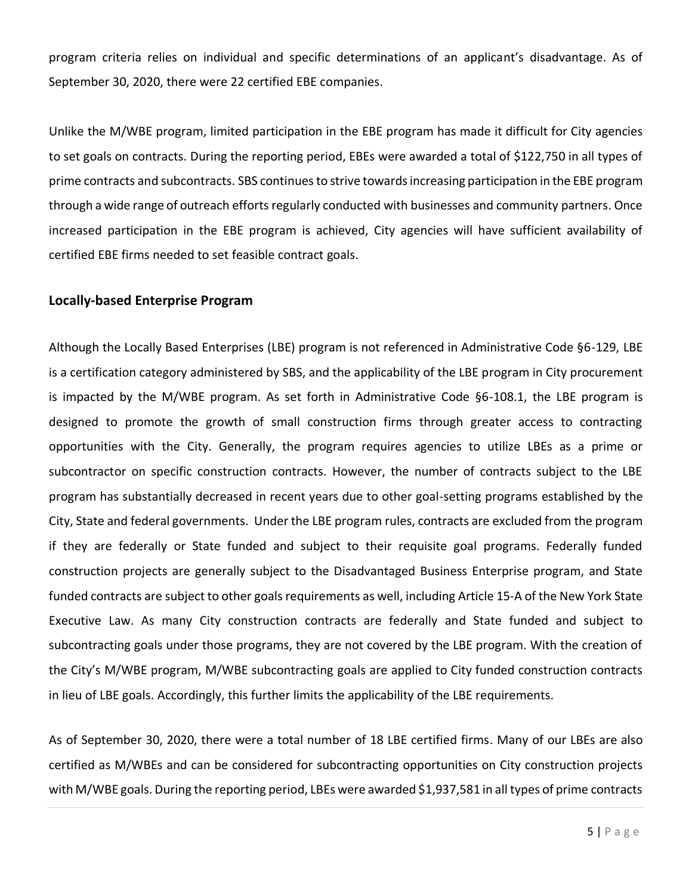program criteria relies on individual and specific determinations of an applicant's disadvantage. As of September 30, 2020, there were 22 certified EBE companies.

Unlike the M/WBE program, limited participation in the EBE program has made it difficult for City agencies to set goals on contracts. During the reporting period, EBEs were awarded a total of \$122,750 in all types of prime contracts and subcontracts. SBS continues to strive towards increasing participation in the EBE program through a wide range of outreach efforts regularly conducted with businesses and community partners. Once increased participation in the EBE program is achieved, City agencies will have sufficient availability of certified EBE firms needed to set feasible contract goals.

#### **Locally-based Enterprise Program**

Although the Locally Based Enterprises (LBE) program is not referenced in Administrative Code §6-129, LBE is a certification category administered by SBS, and the applicability of the LBE program in City procurement is impacted by the M/WBE program. As set forth in Administrative Code §6-108.1, the LBE program is designed to promote the growth of small construction firms through greater access to contracting opportunities with the City. Generally, the program requires agencies to utilize LBEs as a prime or subcontractor on specific construction contracts. However, the number of contracts subject to the LBE program has substantially decreased in recent years due to other goal-setting programs established by the City, State and federal governments. Under the LBE program rules, contracts are excluded from the program if they are federally or State funded and subject to their requisite goal programs. Federally funded construction projects are generally subject to the Disadvantaged Business Enterprise program, and State funded contracts are subject to other goals requirements as well, including Article 15-A of the New York State Executive Law. As many City construction contracts are federally and State funded and subject to subcontracting goals under those programs, they are not covered by the LBE program. With the creation of the City's M/WBE program, M/WBE subcontracting goals are applied to City funded construction contracts in lieu of LBE goals. Accordingly, this further limits the applicability of the LBE requirements.

As of September 30, 2020, there were a total number of 18 LBE certified firms. Many of our LBEs are also certified as M/WBEs and can be considered for subcontracting opportunities on City construction projects with M/WBE goals. During the reporting period, LBEs were awarded \$1,937,581 in all types of prime contracts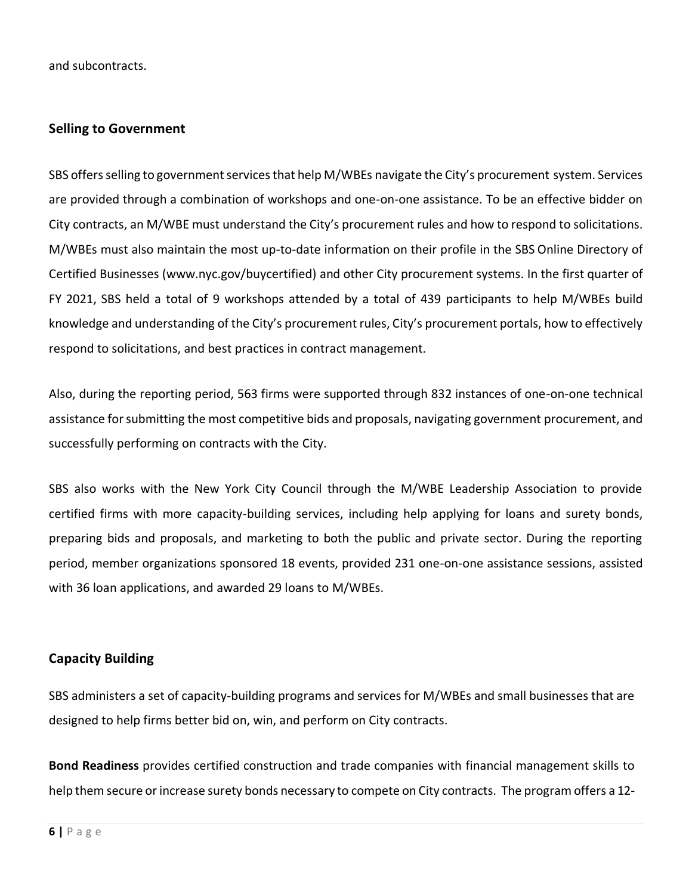and subcontracts.

#### **Selling to Government**

SBS offers selling to government services that help M/WBEs navigate the City's procurement system. Services are provided through a combination of workshops and one-on-one assistance. To be an effective bidder on City contracts, an M/WBE must understand the City's procurement rules and how to respond to solicitations. M/WBEs must also maintain the most up-to-date information on their profile in the SBS Online Directory of Certified Businesses [\(www.nyc.gov/buycertified\) a](http://www.nyc.gov/buycertified))nd other City procurement systems. In the first quarter of FY 2021, SBS held a total of 9 workshops attended by a total of 439 participants to help M/WBEs build knowledge and understanding of the City's procurement rules, City's procurement portals, how to effectively respond to solicitations, and best practices in contract management.

Also, during the reporting period, 563 firms were supported through 832 instances of one-on-one technical assistance for submitting the most competitive bids and proposals, navigating government procurement, and successfully performing on contracts with the City.

SBS also works with the New York City Council through the M/WBE Leadership Association to provide certified firms with more capacity-building services, including help applying for loans and surety bonds, preparing bids and proposals, and marketing to both the public and private sector. During the reporting period, member organizations sponsored 18 events, provided 231 one-on-one assistance sessions, assisted with 36 loan applications, and awarded 29 loans to M/WBEs.

#### **Capacity Building**

SBS administers a set of capacity-building programs and services for M/WBEs and small businesses that are designed to help firms better bid on, win, and perform on City contracts.

**Bond Readiness** provides certified construction and trade companies with financial management skills to help them secure or increase surety bonds necessary to compete on City contracts. The program offers a 12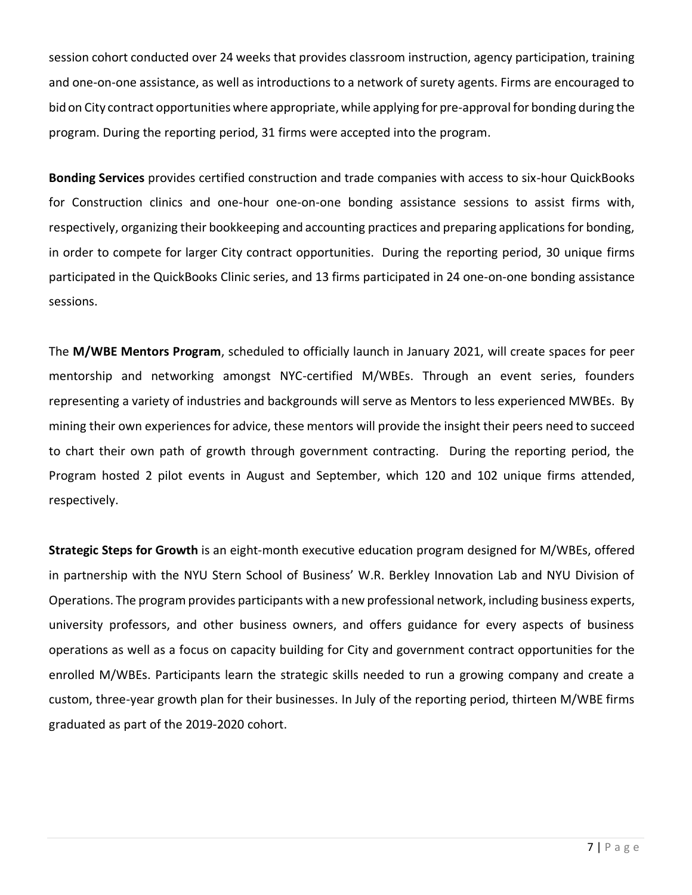session cohort conducted over 24 weeks that provides classroom instruction, agency participation, training and one-on-one assistance, as well as introductions to a network of surety agents. Firms are encouraged to bid on City contract opportunities where appropriate, while applying for pre-approval for bonding during the program. During the reporting period, 31 firms were accepted into the program.

**Bonding Services** provides certified construction and trade companies with access to six-hour QuickBooks for Construction clinics and one-hour one-on-one bonding assistance sessions to assist firms with, respectively, organizing their bookkeeping and accounting practices and preparing applications for bonding, in order to compete for larger City contract opportunities. During the reporting period, 30 unique firms participated in the QuickBooks Clinic series, and 13 firms participated in 24 one-on-one bonding assistance sessions.

The **M/WBE Mentors Program**, scheduled to officially launch in January 2021, will create spaces for peer mentorship and networking amongst NYC-certified M/WBEs. Through an event series, founders representing a variety of industries and backgrounds will serve as Mentors to less experienced MWBEs. By mining their own experiences for advice, these mentors will provide the insight their peers need to succeed to chart their own path of growth through government contracting. During the reporting period, the Program hosted 2 pilot events in August and September, which 120 and 102 unique firms attended, respectively.

**Strategic Steps for Growth** is an eight-month executive education program designed for M/WBEs, offered in partnership with the NYU Stern School of Business' W.R. Berkley Innovation Lab and NYU Division of Operations. The program provides participants with a new professional network, including business experts, university professors, and other business owners, and offers guidance for every aspects of business operations as well as a focus on capacity building for City and government contract opportunities for the enrolled M/WBEs. Participants learn the strategic skills needed to run a growing company and create a custom, three-year growth plan for their businesses. In July of the reporting period, thirteen M/WBE firms graduated as part of the 2019-2020 cohort.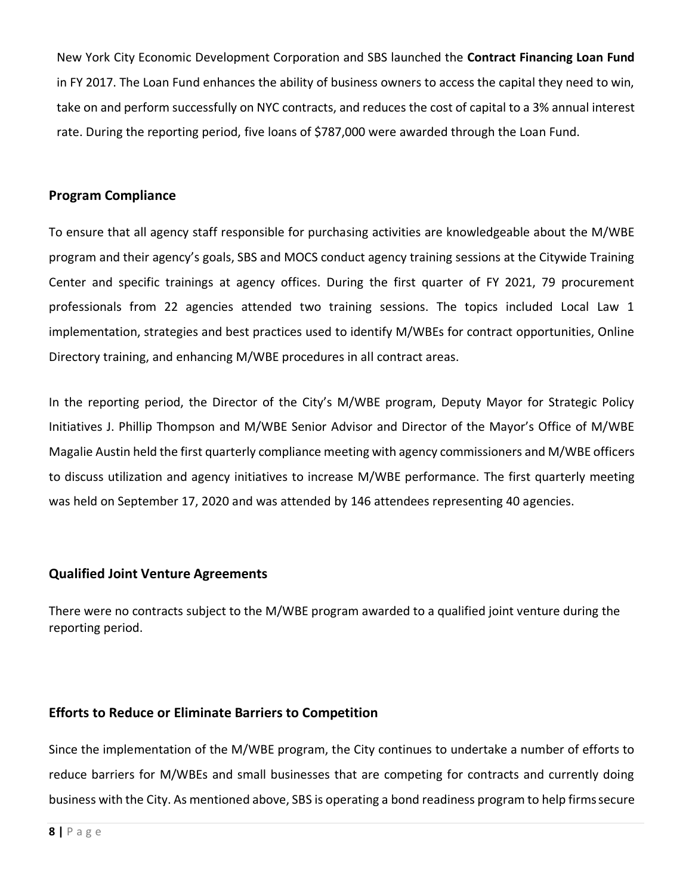New York City Economic Development Corporation and SBS launched the **Contract Financing Loan Fund**  in FY 2017. The Loan Fund enhances the ability of business owners to access the capital they need to win, take on and perform successfully on NYC contracts, and reduces the cost of capital to a 3% annual interest rate. During the reporting period, five loans of \$787,000 were awarded through the Loan Fund.

#### **Program Compliance**

To ensure that all agency staff responsible for purchasing activities are knowledgeable about the M/WBE program and their agency's goals, SBS and MOCS conduct agency training sessions at the Citywide Training Center and specific trainings at agency offices. During the first quarter of FY 2021, 79 procurement professionals from 22 agencies attended two training sessions. The topics included Local Law 1 implementation, strategies and best practices used to identify M/WBEs for contract opportunities, Online Directory training, and enhancing M/WBE procedures in all contract areas.

In the reporting period, the Director of the City's M/WBE program, Deputy Mayor for Strategic Policy Initiatives J. Phillip Thompson and M/WBE Senior Advisor and Director of the Mayor's Office of M/WBE Magalie Austin held the first quarterly compliance meeting with agency commissioners and M/WBE officers to discuss utilization and agency initiatives to increase M/WBE performance. The first quarterly meeting was held on September 17, 2020 and was attended by 146 attendees representing 40 agencies.

#### **Qualified Joint Venture Agreements**

There were no contracts subject to the M/WBE program awarded to a qualified joint venture during the reporting period.

#### **Efforts to Reduce or Eliminate Barriers to Competition**

Since the implementation of the M/WBE program, the City continues to undertake a number of efforts to reduce barriers for M/WBEs and small businesses that are competing for contracts and currently doing business with the City. As mentioned above, SBS is operating a bond readiness program to help firmssecure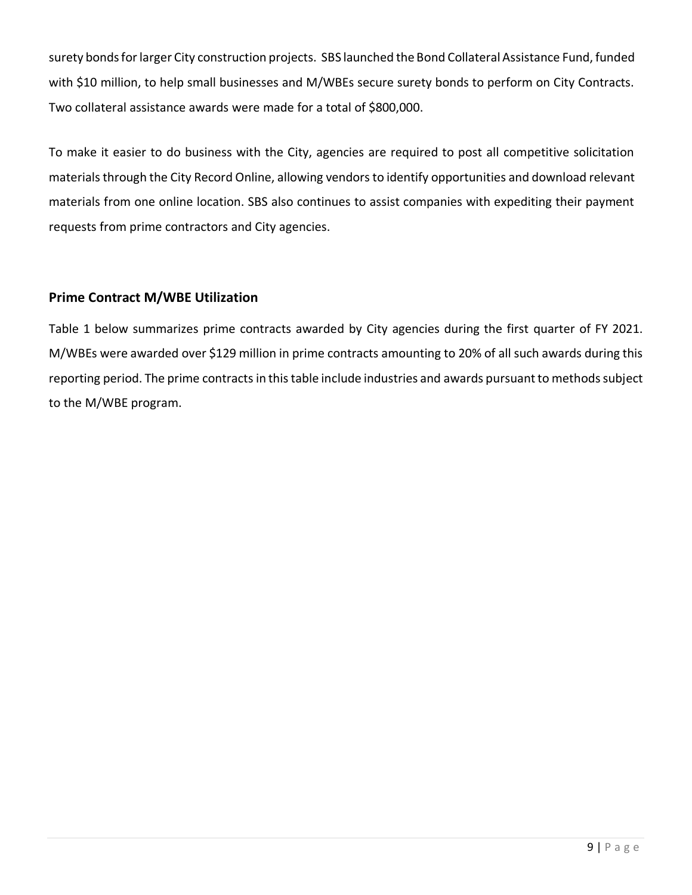surety bonds for larger City construction projects. SBS launched the Bond Collateral Assistance Fund, funded with \$10 million, to help small businesses and M/WBEs secure surety bonds to perform on City Contracts. Two collateral assistance awards were made for a total of \$800,000.

To make it easier to do business with the City, agencies are required to post all competitive solicitation materials through the City Record Online, allowing vendors to identify opportunities and download relevant materials from one online location. SBS also continues to assist companies with expediting their payment requests from prime contractors and City agencies.

#### **Prime Contract M/WBE Utilization**

Table 1 below summarizes prime contracts awarded by City agencies during the first quarter of FY 2021. M/WBEs were awarded over \$129 million in prime contracts amounting to 20% of all such awards during this reporting period. The prime contracts in this table include industries and awards pursuant to methods subject to the M/WBE program.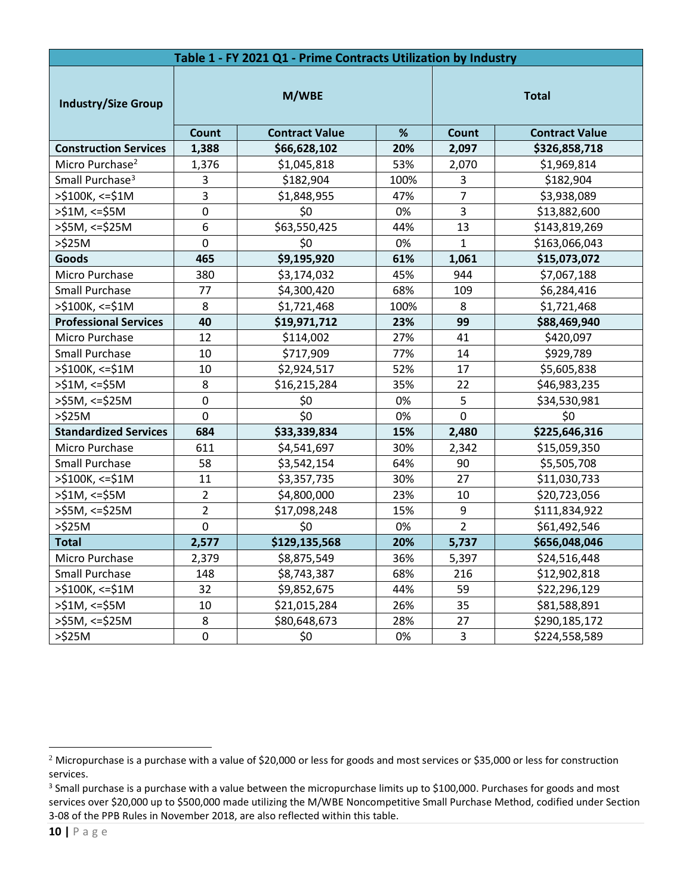| Table 1 - FY 2021 Q1 - Prime Contracts Utilization by Industry |                  |                       |      |                |                       |  |  |  |
|----------------------------------------------------------------|------------------|-----------------------|------|----------------|-----------------------|--|--|--|
| <b>Industry/Size Group</b>                                     | M/WBE            |                       |      | <b>Total</b>   |                       |  |  |  |
|                                                                | Count            | <b>Contract Value</b> | $\%$ | Count          | <b>Contract Value</b> |  |  |  |
| <b>Construction Services</b>                                   | 1,388            | \$66,628,102          | 20%  | 2,097          | \$326,858,718         |  |  |  |
| Micro Purchase <sup>2</sup>                                    | 1,376            | \$1,045,818           | 53%  | 2,070          | \$1,969,814           |  |  |  |
| Small Purchase <sup>3</sup>                                    | 3                | \$182,904             | 100% | 3              | \$182,904             |  |  |  |
| >\$100K, <=\$1M                                                | 3                | \$1,848,955           | 47%  | $\overline{7}$ | \$3,938,089           |  |  |  |
| $>51M$ , <= $$5M$                                              | $\boldsymbol{0}$ | \$0                   | 0%   | $\overline{3}$ | \$13,882,600          |  |  |  |
| >\$5M, <=\$25M                                                 | 6                | \$63,550,425          | 44%  | 13             | \$143,819,269         |  |  |  |
| >\$25M                                                         | 0                | \$0                   | 0%   | $\mathbf{1}$   | \$163,066,043         |  |  |  |
| Goods                                                          | 465              | \$9,195,920           | 61%  | 1,061          | \$15,073,072          |  |  |  |
| Micro Purchase                                                 | 380              | \$3,174,032           | 45%  | 944            | \$7,067,188           |  |  |  |
| <b>Small Purchase</b>                                          | 77               | \$4,300,420           | 68%  | 109            | \$6,284,416           |  |  |  |
| $>$ \$100K, <=\$1M                                             | 8                | \$1,721,468           | 100% | 8              | \$1,721,468           |  |  |  |
| <b>Professional Services</b>                                   | 40               | \$19,971,712          | 23%  | 99             | \$88,469,940          |  |  |  |
| Micro Purchase                                                 | 12               | \$114,002             | 27%  | 41             | \$420,097             |  |  |  |
| <b>Small Purchase</b>                                          | 10               | \$717,909             | 77%  | 14             | \$929,789             |  |  |  |
| >\$100K, <=\$1M                                                | 10               | \$2,924,517           | 52%  | 17             | \$5,605,838           |  |  |  |
| >\$1M, <=\$5M                                                  | 8                | \$16,215,284          | 35%  | 22             | \$46,983,235          |  |  |  |
| >\$5M, <=\$25M                                                 | $\pmb{0}$        | \$0                   | 0%   | 5              | \$34,530,981          |  |  |  |
| $>525M$                                                        | $\mathbf 0$      | \$0                   | 0%   | $\overline{0}$ | \$0                   |  |  |  |
| <b>Standardized Services</b>                                   | 684              | \$33,339,834          | 15%  | 2,480          | \$225,646,316         |  |  |  |
| Micro Purchase                                                 | 611              | \$4,541,697           | 30%  | 2,342          | \$15,059,350          |  |  |  |
| <b>Small Purchase</b>                                          | 58               | \$3,542,154           | 64%  | 90             | \$5,505,708           |  |  |  |
| >\$100K, <=\$1M                                                | 11               | \$3,357,735           | 30%  | 27             | \$11,030,733          |  |  |  |
| $>51M$ , <= $55M$                                              | $\overline{2}$   | \$4,800,000           | 23%  | 10             | \$20,723,056          |  |  |  |
| >\$5M, <=\$25M                                                 | $\overline{2}$   | \$17,098,248          | 15%  | 9              | \$111,834,922         |  |  |  |
| $>\frac{6}{2}$ 25M                                             | $\mathbf 0$      | \$0                   | 0%   | $\overline{2}$ | \$61,492,546          |  |  |  |
| <b>Total</b>                                                   | 2,577            | \$129,135,568         | 20%  | 5,737          | \$656,048,046         |  |  |  |
| Micro Purchase                                                 | 2,379            | \$8,875,549           | 36%  | 5,397          | \$24,516,448          |  |  |  |
| Small Purchase                                                 | 148              | \$8,743,387           | 68%  | 216            | \$12,902,818          |  |  |  |
| >\$100K, <=\$1M                                                | 32               | \$9,852,675           | 44%  | 59             | \$22,296,129          |  |  |  |
| $>51M$ , <= $55M$                                              | 10               | \$21,015,284          | 26%  | 35             | \$81,588,891          |  |  |  |
| $>55M$ , <= $$25M$                                             | $\bf 8$          | \$80,648,673          | 28%  | 27             | \$290,185,172         |  |  |  |
| >525M                                                          | $\pmb{0}$        | \$0                   | 0%   | 3              | \$224,558,589         |  |  |  |

<sup>&</sup>lt;sup>2</sup> Micropurchase is a purchase with a value of \$20,000 or less for goods and most services or \$35,000 or less for construction services.

<sup>&</sup>lt;sup>3</sup> Small purchase is a purchase with a value between the micropurchase limits up to \$100,000. Purchases for goods and most services over \$20,000 up to \$500,000 made utilizing the M/WBE Noncompetitive Small Purchase Method, codified under Section 3-08 of the PPB Rules in November 2018, are also reflected within this table.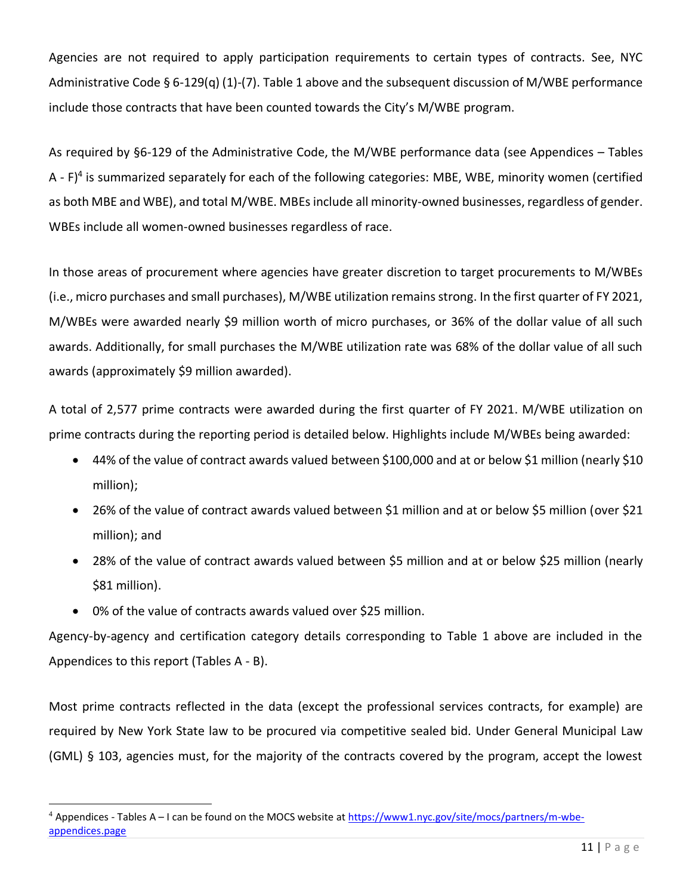Agencies are not required to apply participation requirements to certain types of contracts. See, NYC Administrative Code § 6-129(q) (1)-(7). Table 1 above and the subsequent discussion of M/WBE performance include those contracts that have been counted towards the City's M/WBE program.

As required by §6-129 of the Administrative Code, the M/WBE performance data (see Appendices – Tables A - F)<sup>4</sup> is summarized separately for each of the following categories: MBE, WBE, minority women (certified as both MBE and WBE), and total M/WBE. MBEs include all minority-owned businesses, regardless of gender. WBEs include all women-owned businesses regardless of race.

In those areas of procurement where agencies have greater discretion to target procurements to M/WBEs (i.e., micro purchases and small purchases), M/WBE utilization remains strong. In the first quarter of FY 2021, M/WBEs were awarded nearly \$9 million worth of micro purchases, or 36% of the dollar value of all such awards. Additionally, for small purchases the M/WBE utilization rate was 68% of the dollar value of all such awards (approximately \$9 million awarded).

A total of 2,577 prime contracts were awarded during the first quarter of FY 2021. M/WBE utilization on prime contracts during the reporting period is detailed below. Highlights include M/WBEs being awarded:

- 44% of the value of contract awards valued between \$100,000 and at or below \$1 million (nearly \$10 million);
- 26% of the value of contract awards valued between \$1 million and at or below \$5 million (over \$21 million); and
- 28% of the value of contract awards valued between \$5 million and at or below \$25 million (nearly \$81 million).
- 0% of the value of contracts awards valued over \$25 million.

Agency-by-agency and certification category details corresponding to Table 1 above are included in the Appendices to this report (Tables A - B).

Most prime contracts reflected in the data (except the professional services contracts, for example) are required by New York State law to be procured via competitive sealed bid. Under General Municipal Law (GML) § 103, agencies must, for the majority of the contracts covered by the program, accept the lowest

<sup>4</sup> Appendices - Tables A – I can be found on the MOCS website at [https://www1.nyc.gov/site/mocs/partners/m-wbe](https://www1.nyc.gov/site/mocs/partners/m-wbe-appendices.page)[appendices.page](https://www1.nyc.gov/site/mocs/partners/m-wbe-appendices.page)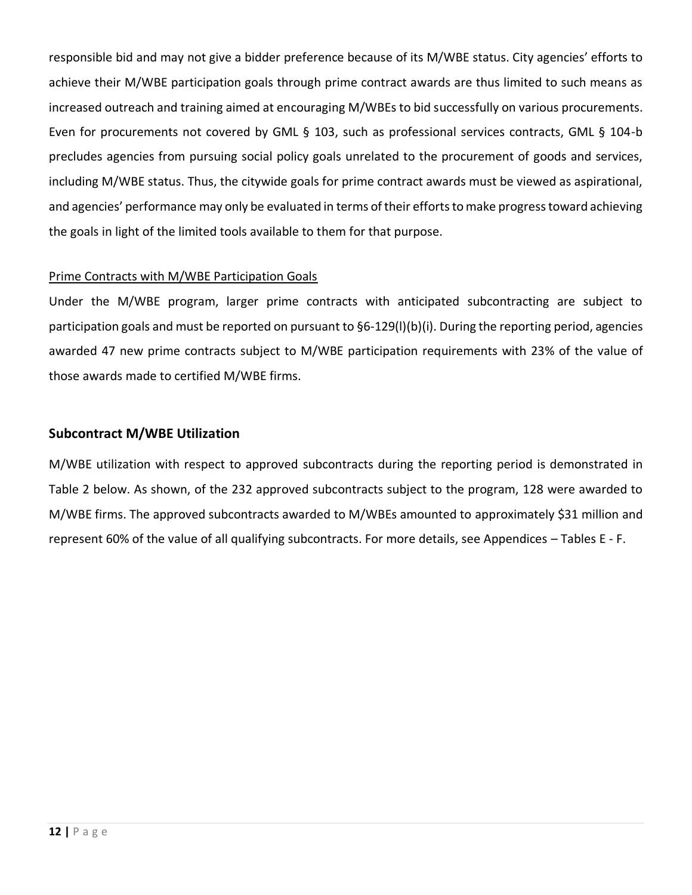responsible bid and may not give a bidder preference because of its M/WBE status. City agencies' efforts to achieve their M/WBE participation goals through prime contract awards are thus limited to such means as increased outreach and training aimed at encouraging M/WBEs to bid successfully on various procurements. Even for procurements not covered by GML § 103, such as professional services contracts, GML § 104-b precludes agencies from pursuing social policy goals unrelated to the procurement of goods and services, including M/WBE status. Thus, the citywide goals for prime contract awards must be viewed as aspirational, and agencies' performance may only be evaluated in terms of their efforts to make progress toward achieving the goals in light of the limited tools available to them for that purpose.

#### Prime Contracts with M/WBE Participation Goals

Under the M/WBE program, larger prime contracts with anticipated subcontracting are subject to participation goals and must be reported on pursuant to §6-129(l)(b)(i). During the reporting period, agencies awarded 47 new prime contracts subject to M/WBE participation requirements with 23% of the value of those awards made to certified M/WBE firms.

#### **Subcontract M/WBE Utilization**

M/WBE utilization with respect to approved subcontracts during the reporting period is demonstrated in Table 2 below. As shown, of the 232 approved subcontracts subject to the program, 128 were awarded to M/WBE firms. The approved subcontracts awarded to M/WBEs amounted to approximately \$31 million and represent 60% of the value of all qualifying subcontracts. For more details, see Appendices – Tables E - F.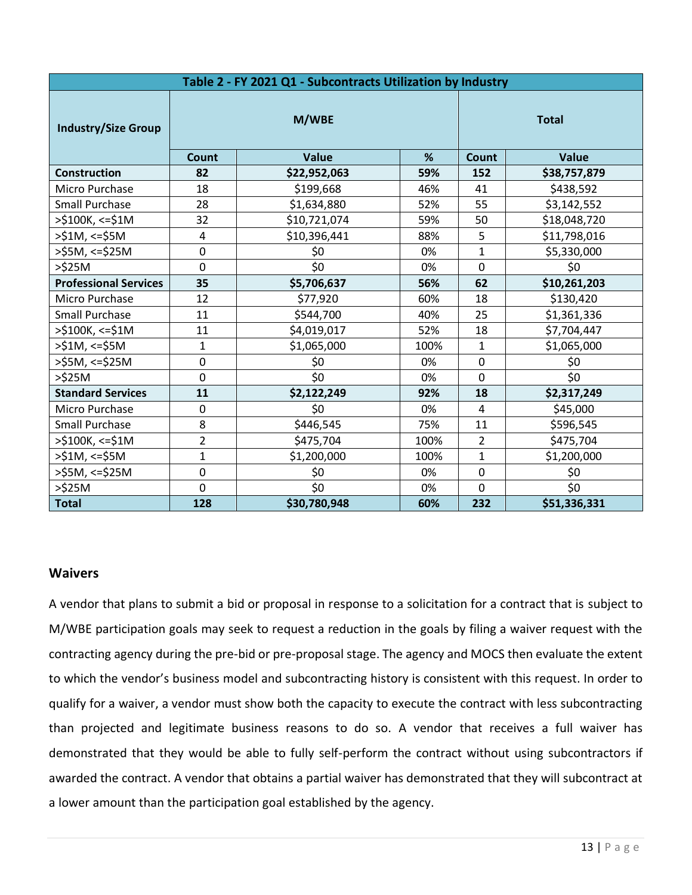| Table 2 - FY 2021 Q1 - Subcontracts Utilization by Industry |                |              |      |                  |              |  |  |  |
|-------------------------------------------------------------|----------------|--------------|------|------------------|--------------|--|--|--|
| <b>Industry/Size Group</b>                                  | M/WBE          |              |      | <b>Total</b>     |              |  |  |  |
|                                                             | Count          | Value        | %    | Count            | <b>Value</b> |  |  |  |
| <b>Construction</b>                                         | 82             | \$22,952,063 | 59%  | 152              | \$38,757,879 |  |  |  |
| Micro Purchase                                              | 18             | \$199,668    | 46%  | 41               | \$438,592    |  |  |  |
| <b>Small Purchase</b>                                       | 28             | \$1,634,880  | 52%  | 55               | \$3,142,552  |  |  |  |
| >\$100K, <=\$1M                                             | 32             | \$10,721,074 | 59%  | 50               | \$18,048,720 |  |  |  |
| >\$1M, <=\$5M                                               | 4              | \$10,396,441 | 88%  | 5                | \$11,798,016 |  |  |  |
| >\$5M, <=\$25M                                              | 0              | \$0          | 0%   | $\mathbf{1}$     | \$5,330,000  |  |  |  |
| >\$25M                                                      | $\mathbf 0$    | \$0          | 0%   | $\mathbf 0$      | \$0          |  |  |  |
| <b>Professional Services</b>                                | 35             | \$5,706,637  | 56%  | 62               | \$10,261,203 |  |  |  |
| Micro Purchase                                              | 12             | \$77,920     | 60%  | 18               | \$130,420    |  |  |  |
| <b>Small Purchase</b>                                       | 11             | \$544,700    | 40%  | 25               | \$1,361,336  |  |  |  |
| >\$100K, <=\$1M                                             | 11             | \$4,019,017  | 52%  | 18               | \$7,704,447  |  |  |  |
| $>51M$ , <= $55M$                                           | $\mathbf{1}$   | \$1,065,000  | 100% | $\mathbf{1}$     | \$1,065,000  |  |  |  |
| >\$5M, <=\$25M                                              | 0              | \$0          | 0%   | $\mathbf 0$      | \$0          |  |  |  |
| $>525M$                                                     | 0              | \$0          | 0%   | $\overline{0}$   | \$0          |  |  |  |
| <b>Standard Services</b>                                    | 11             | \$2,122,249  | 92%  | 18               | \$2,317,249  |  |  |  |
| Micro Purchase                                              | 0              | \$0          | 0%   | 4                | \$45,000     |  |  |  |
| <b>Small Purchase</b>                                       | 8              | \$446,545    | 75%  | 11               | \$596,545    |  |  |  |
| >\$100K, <= \$1M                                            | $\overline{2}$ | \$475,704    | 100% | $\overline{2}$   | \$475,704    |  |  |  |
| >\$1M, <=\$5M                                               | $\mathbf{1}$   | \$1,200,000  | 100% | $\mathbf{1}$     | \$1,200,000  |  |  |  |
| >\$5M, <=\$25M                                              | 0              | \$0          | 0%   | $\boldsymbol{0}$ | \$0          |  |  |  |
| $>\frac{6}{2}$ 25M                                          | $\mathbf 0$    | \$0          | 0%   | $\overline{0}$   | \$0          |  |  |  |
| <b>Total</b>                                                | 128            | \$30,780,948 | 60%  | 232              | \$51,336,331 |  |  |  |

#### **Waivers**

A vendor that plans to submit a bid or proposal in response to a solicitation for a contract that is subject to M/WBE participation goals may seek to request a reduction in the goals by filing a waiver request with the contracting agency during the pre-bid or pre-proposal stage. The agency and MOCS then evaluate the extent to which the vendor's business model and subcontracting history is consistent with this request. In order to qualify for a waiver, a vendor must show both the capacity to execute the contract with less subcontracting than projected and legitimate business reasons to do so. A vendor that receives a full waiver has demonstrated that they would be able to fully self-perform the contract without using subcontractors if awarded the contract. A vendor that obtains a partial waiver has demonstrated that they will subcontract at a lower amount than the participation goal established by the agency.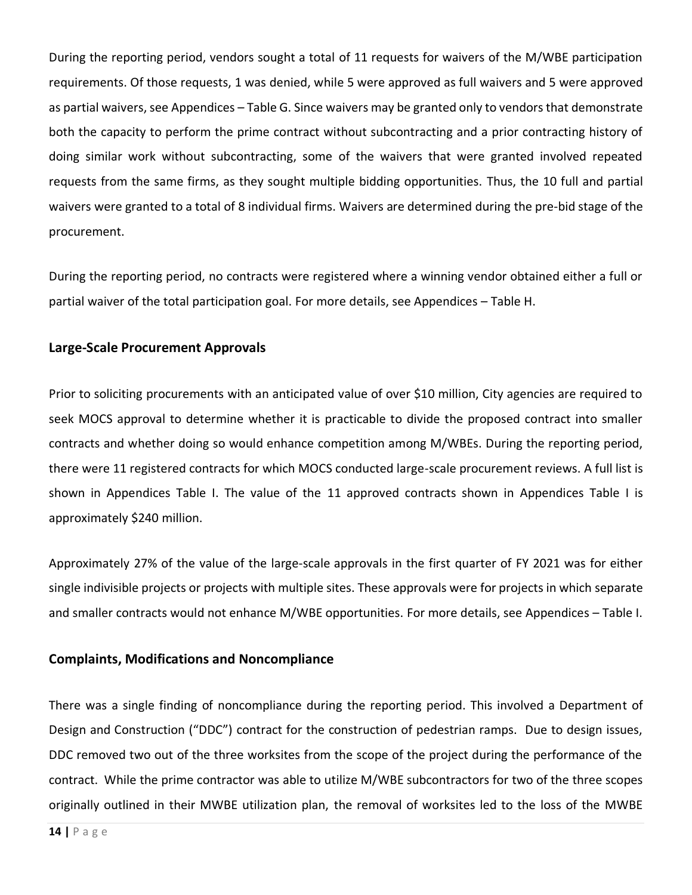During the reporting period, vendors sought a total of 11 requests for waivers of the M/WBE participation requirements. Of those requests, 1 was denied, while 5 were approved as full waivers and 5 were approved as partial waivers, see Appendices – Table G. Since waivers may be granted only to vendors that demonstrate both the capacity to perform the prime contract without subcontracting and a prior contracting history of doing similar work without subcontracting, some of the waivers that were granted involved repeated requests from the same firms, as they sought multiple bidding opportunities. Thus, the 10 full and partial waivers were granted to a total of 8 individual firms. Waivers are determined during the pre-bid stage of the procurement.

During the reporting period, no contracts were registered where a winning vendor obtained either a full or partial waiver of the total participation goal. For more details, see Appendices – Table H.

#### **Large-Scale Procurement Approvals**

Prior to soliciting procurements with an anticipated value of over \$10 million, City agencies are required to seek MOCS approval to determine whether it is practicable to divide the proposed contract into smaller contracts and whether doing so would enhance competition among M/WBEs. During the reporting period, there were 11 registered contracts for which MOCS conducted large-scale procurement reviews. A full list is shown in Appendices Table I. The value of the 11 approved contracts shown in Appendices Table I is approximately \$240 million.

Approximately 27% of the value of the large-scale approvals in the first quarter of FY 2021 was for either single indivisible projects or projects with multiple sites. These approvals were for projects in which separate and smaller contracts would not enhance M/WBE opportunities. For more details, see Appendices – Table I.

#### **Complaints, Modifications and Noncompliance**

There was a single finding of noncompliance during the reporting period. This involved a Department of Design and Construction ("DDC") contract for the construction of pedestrian ramps. Due to design issues, DDC removed two out of the three worksites from the scope of the project during the performance of the contract. While the prime contractor was able to utilize M/WBE subcontractors for two of the three scopes originally outlined in their MWBE utilization plan, the removal of worksites led to the loss of the MWBE